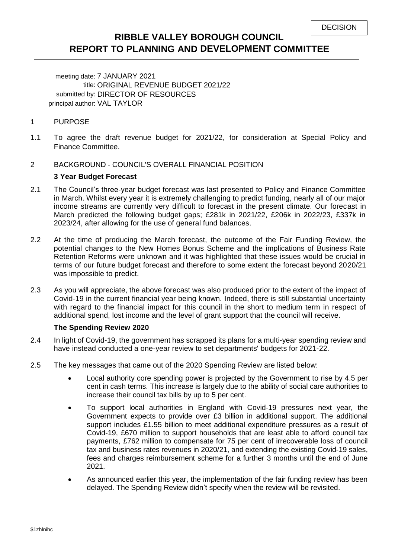# **RIBBLE VALLEY BOROUGH COUNCIL REPORT TO PLANNING AND DEVELOPMENT COMMITTEE**

meeting date: 7 JANUARY 2021 title: ORIGINAL REVENUE BUDGET 2021/22 submitted by: DIRECTOR OF RESOURCES principal author: VAL TAYLOR

#### 1 PURPOSE

- 1.1 To agree the draft revenue budget for 2021/22, for consideration at Special Policy and Finance Committee.
- 2 BACKGROUND COUNCIL'S OVERALL FINANCIAL POSITION

#### **3 Year Budget Forecast**

- 2.1 The Council's three-year budget forecast was last presented to Policy and Finance Committee in March. Whilst every year it is extremely challenging to predict funding, nearly all of our major income streams are currently very difficult to forecast in the present climate. Our forecast in March predicted the following budget gaps; £281k in 2021/22, £206k in 2022/23, £337k in 2023/24, after allowing for the use of general fund balances.
- 2.2 At the time of producing the March forecast, the outcome of the Fair Funding Review, the potential changes to the New Homes Bonus Scheme and the implications of Business Rate Retention Reforms were unknown and it was highlighted that these issues would be crucial in terms of our future budget forecast and therefore to some extent the forecast beyond 2020/21 was impossible to predict.
- 2.3 As you will appreciate, the above forecast was also produced prior to the extent of the impact of Covid-19 in the current financial year being known. Indeed, there is still substantial uncertainty with regard to the financial impact for this council in the short to medium term in respect of additional spend, lost income and the level of grant support that the council will receive.

### **The Spending Review 2020**

- 2.4 In light of Covid-19, the government has scrapped its plans for a multi-year spending review and have instead conducted a one-year review to set departments' budgets for 2021-22.
- 2.5 The key messages that came out of the 2020 Spending Review are listed below:
	- Local authority core spending power is projected by the Government to rise by 4.5 per cent in cash terms. This increase is largely due to the ability of social care authorities to increase their council tax bills by up to 5 per cent.
	- To support local authorities in England with Covid-19 pressures next year, the Government expects to provide over £3 billion in additional support. The additional support includes £1.55 billion to meet additional expenditure pressures as a result of Covid-19, £670 million to support households that are least able to afford council tax payments, £762 million to compensate for 75 per cent of irrecoverable loss of council tax and business rates revenues in 2020/21, and extending the existing Covid-19 sales, fees and charges reimbursement scheme for a further 3 months until the end of June 2021.
	- As announced earlier this year, the implementation of the fair funding review has been delayed. The Spending Review didn't specify when the review will be revisited.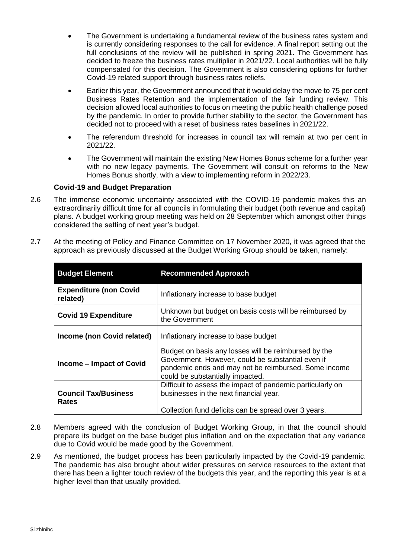- The Government is undertaking a fundamental review of the business rates system and is currently considering responses to the call for evidence. A final report setting out the full conclusions of the review will be published in spring 2021. The Government has decided to freeze the business rates multiplier in 2021/22. Local authorities will be fully compensated for this decision. The Government is also considering options for further Covid-19 related support through business rates reliefs.
- Earlier this year, the Government announced that it would delay the move to 75 per cent Business Rates Retention and the implementation of the fair funding review. This decision allowed local authorities to focus on meeting the public health challenge posed by the pandemic. In order to provide further stability to the sector, the Government has decided not to proceed with a reset of business rates baselines in 2021/22.
- The referendum threshold for increases in council tax will remain at two per cent in 2021/22.
- The Government will maintain the existing New Homes Bonus scheme for a further year with no new legacy payments. The Government will consult on reforms to the New Homes Bonus shortly, with a view to implementing reform in 2022/23.

### **Covid-19 and Budget Preparation**

2.6 The immense economic uncertainty associated with the COVID-19 pandemic makes this an extraordinarily difficult time for all councils in formulating their budget (both revenue and capital) plans. A budget working group meeting was held on 28 September which amongst other things considered the setting of next year's budget.

| <b>Budget Element</b>                       | <b>Recommended Approach</b>                                                                                                                                                                           |
|---------------------------------------------|-------------------------------------------------------------------------------------------------------------------------------------------------------------------------------------------------------|
| <b>Expenditure (non Covid</b><br>related)   | Inflationary increase to base budget                                                                                                                                                                  |
| <b>Covid 19 Expenditure</b>                 | Unknown but budget on basis costs will be reimbursed by<br>the Government                                                                                                                             |
| Income (non Covid related)                  | Inflationary increase to base budget                                                                                                                                                                  |
| Income – Impact of Covid                    | Budget on basis any losses will be reimbursed by the<br>Government. However, could be substantial even if<br>pandemic ends and may not be reimbursed. Some income<br>could be substantially impacted. |
| <b>Council Tax/Business</b><br><b>Rates</b> | Difficult to assess the impact of pandemic particularly on<br>businesses in the next financial year.<br>Collection fund deficits can be spread over 3 years.                                          |

2.7 At the meeting of Policy and Finance Committee on 17 November 2020, it was agreed that the approach as previously discussed at the Budget Working Group should be taken, namely:

- 2.8 Members agreed with the conclusion of Budget Working Group, in that the council should prepare its budget on the base budget plus inflation and on the expectation that any variance due to Covid would be made good by the Government.
- 2.9 As mentioned, the budget process has been particularly impacted by the Covid-19 pandemic. The pandemic has also brought about wider pressures on service resources to the extent that there has been a lighter touch review of the budgets this year, and the reporting this year is at a higher level than that usually provided.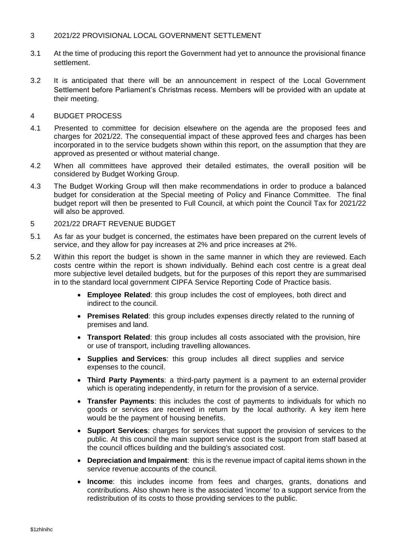### 3 2021/22 PROVISIONAL LOCAL GOVERNMENT SETTLEMENT

- 3.1 At the time of producing this report the Government had yet to announce the provisional finance settlement.
- 3.2 It is anticipated that there will be an announcement in respect of the Local Government Settlement before Parliament's Christmas recess. Members will be provided with an update at their meeting.

#### 4 BUDGET PROCESS

- 4.1 Presented to committee for decision elsewhere on the agenda are the proposed fees and charges for 2021/22. The consequential impact of these approved fees and charges has been incorporated in to the service budgets shown within this report, on the assumption that they are approved as presented or without material change.
- 4.2 When all committees have approved their detailed estimates, the overall position will be considered by Budget Working Group.
- 4.3 The Budget Working Group will then make recommendations in order to produce a balanced budget for consideration at the Special meeting of Policy and Finance Committee. The final budget report will then be presented to Full Council, at which point the Council Tax for 2021/22 will also be approved.
- 5 2021/22 DRAFT REVENUE BUDGET
- 5.1 As far as your budget is concerned, the estimates have been prepared on the current levels of service, and they allow for pay increases at 2% and price increases at 2%.
- 5.2 Within this report the budget is shown in the same manner in which they are reviewed. Each costs centre within the report is shown individually. Behind each cost centre is a great deal more subjective level detailed budgets, but for the purposes of this report they are summarised in to the standard local government CIPFA Service Reporting Code of Practice basis.
	- **Employee Related**: this group includes the cost of employees, both direct and indirect to the council.
	- **Premises Related**: this group includes expenses directly related to the running of premises and land.
	- **Transport Related**: this group includes all costs associated with the provision, hire or use of transport, including travelling allowances.
	- **Supplies and Services**: this group includes all direct supplies and service expenses to the council.
	- **Third Party Payments**: a third-party payment is a payment to an external provider which is operating independently, in return for the provision of a service.
	- **Transfer Payments**: this includes the cost of payments to individuals for which no goods or services are received in return by the local authority. A key item here would be the payment of housing benefits.
	- **Support Services**: charges for services that support the provision of services to the public. At this council the main support service cost is the support from staff based at the council offices building and the building's associated cost.
	- **Depreciation and Impairment**: this is the revenue impact of capital items shown in the service revenue accounts of the council.
	- **Income**: this includes income from fees and charges, grants, donations and contributions. Also shown here is the associated 'income' to a support service from the redistribution of its costs to those providing services to the public.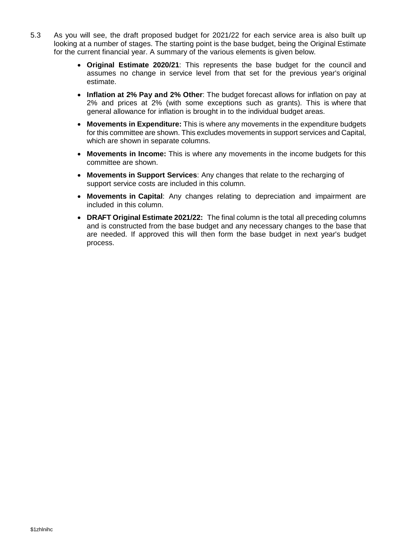- 5.3 As you will see, the draft proposed budget for 2021/22 for each service area is also built up looking at a number of stages. The starting point is the base budget, being the Original Estimate for the current financial year. A summary of the various elements is given below.
	- **Original Estimate 2020/21**: This represents the base budget for the council and assumes no change in service level from that set for the previous year's original estimate.
	- **Inflation at 2% Pay and 2% Other**: The budget forecast allows for inflation on pay at 2% and prices at 2% (with some exceptions such as grants). This is where that general allowance for inflation is brought in to the individual budget areas.
	- **Movements in Expenditure:** This is where any movements in the expenditure budgets for this committee are shown. This excludes movements in support services and Capital, which are shown in separate columns.
	- **Movements in Income:** This is where any movements in the income budgets for this committee are shown.
	- **Movements in Support Services**: Any changes that relate to the recharging of support service costs are included in this column.
	- **Movements in Capital**: Any changes relating to depreciation and impairment are included in this column.
	- **DRAFT Original Estimate 2021/22:** The final column is the total all preceding columns and is constructed from the base budget and any necessary changes to the base that are needed. If approved this will then form the base budget in next year's budget process.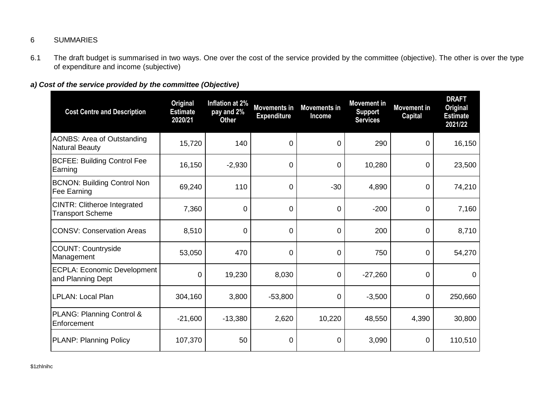## 6 SUMMARIES

6.1 The draft budget is summarised in two ways. One over the cost of the service provided by the committee (objective). The other is over the type of expenditure and income (subjective)

# *a) Cost of the service provided by the committee (Objective)*

| <b>Cost Centre and Description</b>                            | <b>Original</b><br><b>Estimate</b><br>2020/21 | Inflation at 2%<br>pay and 2%<br><b>Other</b> | <b>Movements in</b><br><b>Expenditure</b> | <b>Movements in</b><br>Income | <b>Movement in</b><br><b>Support</b><br><b>Services</b> | <b>Movement in</b><br><b>Capital</b> | <b>DRAFT</b><br><b>Original</b><br><b>Estimate</b><br>2021/22 |
|---------------------------------------------------------------|-----------------------------------------------|-----------------------------------------------|-------------------------------------------|-------------------------------|---------------------------------------------------------|--------------------------------------|---------------------------------------------------------------|
| <b>AONBS: Area of Outstanding</b><br><b>Natural Beauty</b>    | 15,720                                        | 140                                           | 0                                         | 0                             | 290                                                     | 0                                    | 16,150                                                        |
| <b>BCFEE: Building Control Fee</b><br>Earning                 | 16,150                                        | $-2,930$                                      | 0                                         | 0                             | 10,280                                                  | 0                                    | 23,500                                                        |
| <b>BCNON: Building Control Non</b><br>Fee Earning             | 69,240                                        | 110                                           | 0                                         | $-30$                         | 4,890                                                   | 0                                    | 74,210                                                        |
| <b>CINTR: Clitheroe Integrated</b><br><b>Transport Scheme</b> | 7,360                                         | $\Omega$                                      | 0                                         | 0                             | $-200$                                                  | 0                                    | 7,160                                                         |
| <b>CONSV: Conservation Areas</b>                              | 8,510                                         | $\overline{0}$                                | $\mathbf 0$                               | 0                             | 200                                                     | 0                                    | 8,710                                                         |
| <b>COUNT: Countryside</b><br>Management                       | 53,050                                        | 470                                           | 0                                         | $\mathbf 0$                   | 750                                                     | 0                                    | 54,270                                                        |
| <b>ECPLA: Economic Development</b><br>and Planning Dept       | 0                                             | 19,230                                        | 8,030                                     | 0                             | $-27,260$                                               | 0                                    | $\Omega$                                                      |
| LPLAN: Local Plan                                             | 304,160                                       | 3,800                                         | $-53,800$                                 | 0                             | $-3,500$                                                | 0                                    | 250,660                                                       |
| PLANG: Planning Control &<br>Enforcement                      | $-21,600$                                     | $-13,380$                                     | 2,620                                     | 10,220                        | 48,550                                                  | 4,390                                | 30,800                                                        |
| <b>PLANP: Planning Policy</b>                                 | 107,370                                       | 50                                            | 0                                         | 0                             | 3,090                                                   | 0                                    | 110,510                                                       |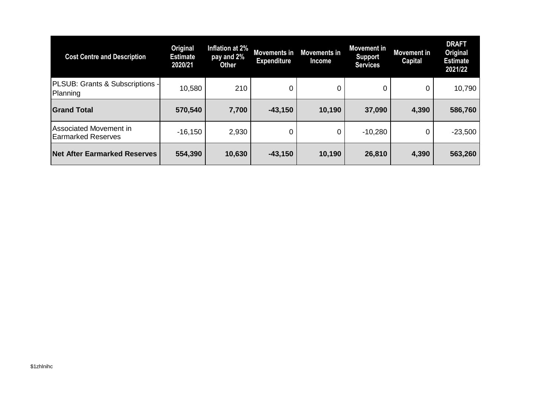| <b>Cost Centre and Description</b>                  | Original<br><b>Estimate</b><br>2020/21 | Inflation at 2%<br>pay and 2%<br><b>Other</b> | Movements in<br><b>Expenditure</b> | <b>Movements in</b><br>Income | <b>Movement in</b><br>Support<br><b>Services</b> | <b>Movement</b> in<br><b>Capital</b> | <b>DRAFT</b><br><b>Original</b><br><b>Estimate</b><br>2021/22 |
|-----------------------------------------------------|----------------------------------------|-----------------------------------------------|------------------------------------|-------------------------------|--------------------------------------------------|--------------------------------------|---------------------------------------------------------------|
| PLSUB: Grants & Subscriptions -<br>Planning         | 10,580                                 | 210                                           | 0                                  | 0                             | 0                                                | 0                                    | 10,790                                                        |
| <b>Grand Total</b>                                  | 570,540                                | 7,700                                         | $-43,150$                          | 10,190                        | 37,090                                           | 4,390                                | 586,760                                                       |
| Associated Movement in<br><b>Earmarked Reserves</b> | $-16,150$                              | 2,930                                         | 0                                  | 0                             | $-10,280$                                        | 0                                    | $-23,500$                                                     |
| <b>Net After Earmarked Reserves</b>                 | 554,390                                | 10,630                                        | $-43,150$                          | 10,190                        | 26,810                                           | 4,390                                | 563,260                                                       |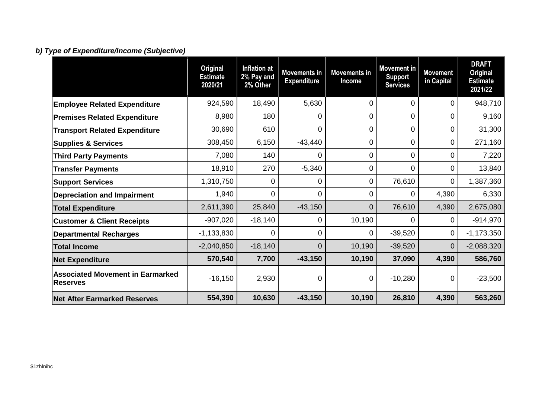# *b) Type of Expenditure/Income (Subjective)*

|                                                            | <b>Original</b><br><b>Estimate</b><br>2020/21 | <b>Inflation at</b><br>2% Pay and<br>2% Other | <b>Movements in</b><br><b>Expenditure</b> | <b>Movements in</b><br>Income | <b>Movement</b> in<br><b>Support</b><br><b>Services</b> | <b>Movement</b><br>in Capital | <b>DRAFT</b><br><b>Original</b><br><b>Estimate</b><br>2021/22 |
|------------------------------------------------------------|-----------------------------------------------|-----------------------------------------------|-------------------------------------------|-------------------------------|---------------------------------------------------------|-------------------------------|---------------------------------------------------------------|
| <b>Employee Related Expenditure</b>                        | 924,590                                       | 18,490                                        | 5,630                                     | 0                             | 0                                                       | 0                             | 948,710                                                       |
| <b>Premises Related Expenditure</b>                        | 8,980                                         | 180                                           | 0                                         | 0                             | 0                                                       | 0                             | 9,160                                                         |
| <b>Transport Related Expenditure</b>                       | 30,690                                        | 610                                           | 0                                         | $\overline{0}$                | 0                                                       | 0                             | 31,300                                                        |
| <b>Supplies &amp; Services</b>                             | 308,450                                       | 6,150                                         | $-43,440$                                 | $\mathbf 0$                   | 0                                                       | 0                             | 271,160                                                       |
| <b>Third Party Payments</b>                                | 7,080                                         | 140                                           | 0                                         | 0                             | 0                                                       | 0                             | 7,220                                                         |
| <b>Transfer Payments</b>                                   | 18,910                                        | 270                                           | $-5,340$                                  | $\overline{0}$                | 0                                                       | 0                             | 13,840                                                        |
| <b>Support Services</b>                                    | 1,310,750                                     | 0                                             | 0                                         | 0                             | 76,610                                                  | 0                             | 1,387,360                                                     |
| <b>Depreciation and Impairment</b>                         | 1,940                                         | 0                                             | $\overline{0}$                            | 0                             | 0                                                       | 4,390                         | 6,330                                                         |
| <b>Total Expenditure</b>                                   | 2,611,390                                     | 25,840                                        | $-43,150$                                 | $\overline{0}$                | 76,610                                                  | 4,390                         | 2,675,080                                                     |
| <b>Customer &amp; Client Receipts</b>                      | $-907,020$                                    | $-18,140$                                     | 0                                         | 10,190                        | 0                                                       | 0                             | $-914,970$                                                    |
| <b>Departmental Recharges</b>                              | $-1,133,830$                                  | $\Omega$                                      | 0                                         | $\Omega$                      | $-39,520$                                               | 0                             | $-1,173,350$                                                  |
| <b>Total Income</b>                                        | $-2,040,850$                                  | $-18,140$                                     | $\overline{0}$                            | 10,190                        | $-39,520$                                               | 0                             | $-2,088,320$                                                  |
| <b>Net Expenditure</b>                                     | 570,540                                       | 7,700                                         | $-43,150$                                 | 10,190                        | 37,090                                                  | 4,390                         | 586,760                                                       |
| <b>Associated Movement in Earmarked</b><br><b>Reserves</b> | $-16,150$                                     | 2,930                                         | 0                                         | 0                             | $-10,280$                                               | 0                             | $-23,500$                                                     |
| <b>Net After Earmarked Reserves</b>                        | 554,390                                       | 10,630                                        | $-43,150$                                 | 10,190                        | 26,810                                                  | 4,390                         | 563,260                                                       |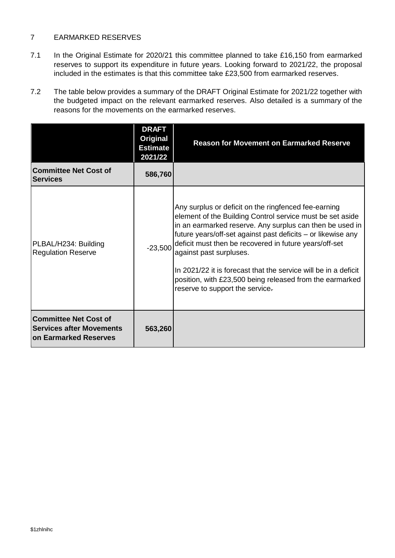### 7 EARMARKED RESERVES

- 7.1 In the Original Estimate for 2020/21 this committee planned to take £16,150 from earmarked reserves to support its expenditure in future years. Looking forward to 2021/22, the proposal included in the estimates is that this committee take £23,500 from earmarked reserves.
- 7.2 The table below provides a summary of the DRAFT Original Estimate for 2021/22 together with the budgeted impact on the relevant earmarked reserves. Also detailed is a summary of the reasons for the movements on the earmarked reserves.

|                                                                                                 | <b>DRAFT</b><br>Original<br><b>Estimate</b><br>2021/22 | <b>Reason for Movement on Earmarked Reserve</b>                                                                                                                                                                                                                                                                                                                                                                                                                                                      |
|-------------------------------------------------------------------------------------------------|--------------------------------------------------------|------------------------------------------------------------------------------------------------------------------------------------------------------------------------------------------------------------------------------------------------------------------------------------------------------------------------------------------------------------------------------------------------------------------------------------------------------------------------------------------------------|
| <b>Committee Net Cost of</b><br><b>Services</b>                                                 | 586,760                                                |                                                                                                                                                                                                                                                                                                                                                                                                                                                                                                      |
| PLBAL/H234: Building<br><b>Regulation Reserve</b>                                               | $-23,500$                                              | Any surplus or deficit on the ringfenced fee-earning<br>element of the Building Control service must be set aside<br>in an earmarked reserve. Any surplus can then be used in<br>future years/off-set against past deficits – or likewise any<br>deficit must then be recovered in future years/off-set<br>against past surpluses.<br>In 2021/22 it is forecast that the service will be in a deficit<br>position, with £23,500 being released from the earmarked<br>reserve to support the service- |
| <b>Committee Net Cost of</b><br><b>Services after Movements</b><br><b>on Earmarked Reserves</b> | 563,260                                                |                                                                                                                                                                                                                                                                                                                                                                                                                                                                                                      |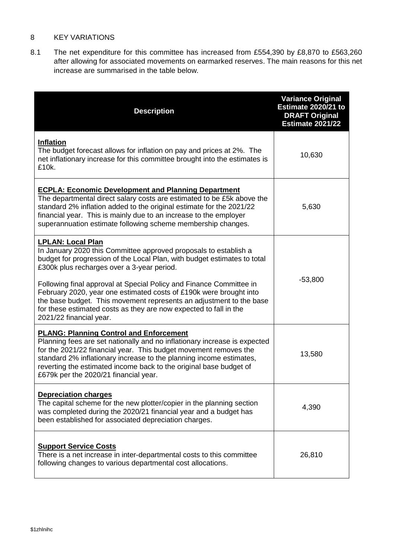### 8 KEY VARIATIONS

8.1 The net expenditure for this committee has increased from £554,390 by £8,870 to £563,260 after allowing for associated movements on earmarked reserves. The main reasons for this net increase are summarised in the table below.

| <b>Description</b>                                                                                                                                                                                                                                                                                                                                                                                                                                                                                                                         | <b>Variance Original</b><br>Estimate 2020/21 to<br><b>DRAFT Original</b><br><b>Estimate 2021/22</b> |
|--------------------------------------------------------------------------------------------------------------------------------------------------------------------------------------------------------------------------------------------------------------------------------------------------------------------------------------------------------------------------------------------------------------------------------------------------------------------------------------------------------------------------------------------|-----------------------------------------------------------------------------------------------------|
| <b>Inflation</b><br>The budget forecast allows for inflation on pay and prices at 2%. The<br>net inflationary increase for this committee brought into the estimates is<br>£10k.                                                                                                                                                                                                                                                                                                                                                           | 10,630                                                                                              |
| <b>ECPLA: Economic Development and Planning Department</b><br>The departmental direct salary costs are estimated to be £5k above the<br>standard 2% inflation added to the original estimate for the 2021/22<br>financial year. This is mainly due to an increase to the employer<br>superannuation estimate following scheme membership changes.                                                                                                                                                                                          | 5,630                                                                                               |
| <b>LPLAN: Local Plan</b><br>In January 2020 this Committee approved proposals to establish a<br>budget for progression of the Local Plan, with budget estimates to total<br>£300k plus recharges over a 3-year period.<br>Following final approval at Special Policy and Finance Committee in<br>February 2020, year one estimated costs of £190k were brought into<br>the base budget. This movement represents an adjustment to the base<br>for these estimated costs as they are now expected to fall in the<br>2021/22 financial year. | $-53,800$                                                                                           |
| <b>PLANG: Planning Control and Enforcement</b><br>Planning fees are set nationally and no inflationary increase is expected<br>for the 2021/22 financial year. This budget movement removes the<br>standard 2% inflationary increase to the planning income estimates,<br>reverting the estimated income back to the original base budget of<br>£679k per the 2020/21 financial year.                                                                                                                                                      | 13,580                                                                                              |
| <b>Depreciation charges</b><br>The capital scheme for the new plotter/copier in the planning section<br>was completed during the 2020/21 financial year and a budget has<br>been established for associated depreciation charges.                                                                                                                                                                                                                                                                                                          | 4,390                                                                                               |
| <b>Support Service Costs</b><br>There is a net increase in inter-departmental costs to this committee<br>following changes to various departmental cost allocations.                                                                                                                                                                                                                                                                                                                                                                       | 26,810                                                                                              |